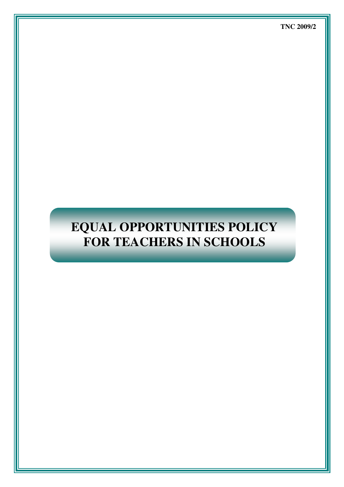# **EQUAL OPPORTUNITIES POLICY FOR TEACHERS IN SCHOOLS**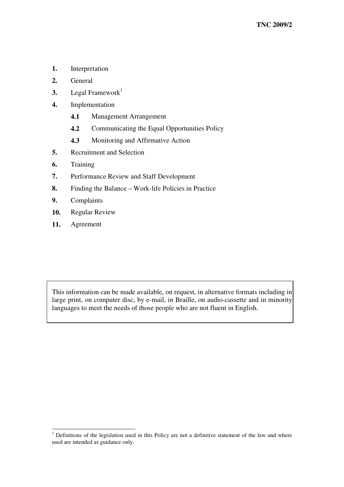- **1.** Interpretation
- **2.** General
- **3.** Legal Framework 1
- **4.** Implementation
	- **4.1** Management Arrangement
	- **4.2** Communicating the Equal Opportunities Policy
	- **4.3** Monitoring and Affirmative Action
- **5.** Recruitment and Selection
- **6.** Training
- **7.** Performance Review and Staff Development
- **8.** Finding the Balance Work-life Policies in Practice
- **9.** Complaints
- **10.** Regular Review

<u> 1989 - Johann Barn, mars ar breithinn ar breithinn ar breithinn ar breithinn ar breithinn ar breithinn ar br</u>

**11.** Agreement

This information can be made available, on request, in alternative formats including in large print, on computer disc, by e-mail, in Braille, on audio-cassette and in minority languages to meet the needs of those people who are not fluent in English.

<sup>&</sup>lt;sup>1</sup> Definitions of the legislation used in this Policy are not a definitive statement of the law and where used are intended as guidance only.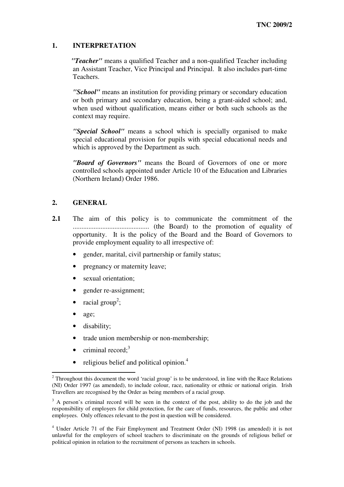# **1. INTERPRETATION**

*"Teacher"* means a qualified Teacher and a non-qualified Teacher including an Assistant Teacher, Vice Principal and Principal. It also includes part-time Teachers.

*"School"* means an institution for providing primary or secondary education or both primary and secondary education, being a grant-aided school; and, when used without qualification, means either or both such schools as the context may require.

*"Special School"* means a school which is specially organised to make special educational provision for pupils with special educational needs and which is approved by the Department as such.

*"Board of Governors"* means the Board of Governors of one or more controlled schools appointed under Article 10 of the Education and Libraries (Northern Ireland) Order 1986.

# **2. GENERAL**

- **2.1** The aim of this policy is to communicate the commitment of the ............................................ (the Board) to the promotion of equality of opportunity. It is the policy of the Board and the Board of Governors to provide employment equality to all irrespective of:
	- gender, marital, civil partnership or family status;
	- pregnancy or maternity leave;
	- sexual orientation;
	- gender re-assignment;
	- racial group<sup>2</sup>;
	- age;
	- disability:

<u> 1989 - Johann Barn, amerikansk politiker (</u>

- trade union membership or non-membership;
- $\bullet$  criminal record;<sup>3</sup>
- religious belief and political opinion.<sup>4</sup>

<sup>&</sup>lt;sup>2</sup> Throughout this document the word 'racial group' is to be understood, in line with the Race Relations (NI) Order 1997 (as amended), to include colour, race, nationality or ethnic or national origin. Irish Travellers are recognised by the Order as being members of a racial group.

<sup>&</sup>lt;sup>3</sup> A person's criminal record will be seen in the context of the post, ability to do the job and the responsibility of employers for child protection, for the care of funds, resources, the public and other employees. Only offences relevant to the post in question will be considered.

<sup>4</sup> Under Article 71 of the Fair Employment and Treatment Order (NI) 1998 (as amended) it is not unlawful for the employers of school teachers to discriminate on the grounds of religious belief or political opinion in relation to the recruitment of persons as teachers in schools.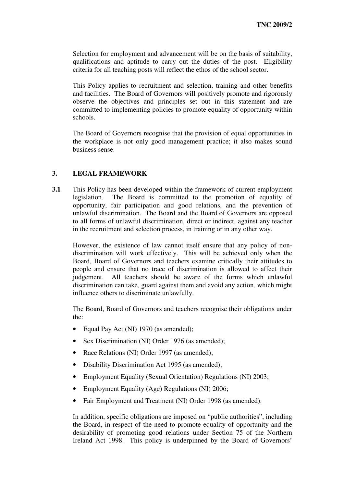Selection for employment and advancement will be on the basis of suitability, qualifications and aptitude to carry out the duties of the post. Eligibility criteria for all teaching posts will reflect the ethos of the school sector.

This Policy applies to recruitment and selection, training and other benefits and facilities. The Board of Governors will positively promote and rigorously observe the objectives and principles set out in this statement and are committed to implementing policies to promote equality of opportunity within schools.

The Board of Governors recognise that the provision of equal opportunities in the workplace is not only good management practice; it also makes sound business sense.

# **3. LEGAL FRAMEWORK**

**3.1** This Policy has been developed within the framework of current employment legislation. The Board is committed to the promotion of equality of opportunity, fair participation and good relations, and the prevention of unlawful discrimination. The Board and the Board of Governors are opposed to all forms of unlawful discrimination, direct or indirect, against any teacher in the recruitment and selection process, in training or in any other way.

However, the existence of law cannot itself ensure that any policy of nondiscrimination will work effectively. This will be achieved only when the Board, Board of Governors and teachers examine critically their attitudes to people and ensure that no trace of discrimination is allowed to affect their judgement. All teachers should be aware of the forms which unlawful discrimination can take, guard against them and avoid any action, which might influence others to discriminate unlawfully.

The Board, Board of Governors and teachers recognise their obligations under the:

- Equal Pay Act (NI) 1970 (as amended);
- Sex Discrimination (NI) Order 1976 (as amended):
- Race Relations (NI) Order 1997 (as amended);
- Disability Discrimination Act 1995 (as amended);
- Employment Equality (Sexual Orientation) Regulations (NI) 2003;
- Employment Equality (Age) Regulations (NI) 2006;
- Fair Employment and Treatment (NI) Order 1998 (as amended).

In addition, specific obligations are imposed on "public authorities", including the Board, in respect of the need to promote equality of opportunity and the desirability of promoting good relations under Section 75 of the Northern Ireland Act 1998. This policy is underpinned by the Board of Governors'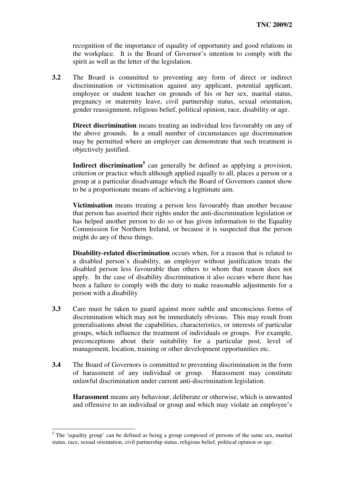recognition of the importance of equality of opportunity and good relations in the workplace. It is the Board of Governor's intention to comply with the spirit as well as the letter of the legislation.

**3.2** The Board is committed to preventing any form of direct or indirect discrimination or victimisation against any applicant, potential applicant, employee or student teacher on grounds of his or her sex, marital status, pregnancy or maternity leave, civil partnership status, sexual orientation, gender reassignment, religious belief, political opinion, race, disability or age.

**Direct discrimination** means treating an individual less favourably on any of the above grounds. In a small number of circumstances age discrimination may be permitted where an employer can demonstrate that such treatment is objectively justified.

**Indirect discrimination 5** can generally be defined as applying a provision, criterion or practice which although applied equally to all, places a person or a group at a particular disadvantage which the Board of Governors cannot show to be a proportionate means of achieving a legitimate aim.

**Victimisation** means treating a person less favourably than another because that person has asserted their rights under the anti-discrimination legislation or has helped another person to do so or has given information to the Equality Commission for Northern Ireland, or because it is suspected that the person might do any of these things.

**Disability-related discrimination** occurs when, for a reason that is related to a disabled person's disability, an employer without justification treats the disabled person less favourable than others to whom that reason does not apply. In the case of disability discrimination it also occurs where there has been a failure to comply with the duty to make reasonable adjustments for a person with a disability

- **3.3** Care must be taken to guard against more subtle and unconscious forms of discrimination which may not be immediately obvious. This may result from generalisations about the capabilities, characteristics, or interests of particular groups, which influence the treatment of individuals or groups. For example, preconceptions about their suitability for a particular post, level of management, location, training or other development opportunities etc.
- **3.4** The Board of Governors is committed to preventing discrimination in the form of harassment of any individual or group. Harassment may constitute unlawful discrimination under current anti-discrimination legislation.

**Harassment** means any behaviour, deliberate or otherwise, which is unwanted and offensive to an individual or group and which may violate an employee's

<u> 1989 - Johann Barn, mars ar breithinn ar breithinn ar breithinn ar breithinn ar breithinn ar breithinn ar br</u>

 $<sup>5</sup>$  The 'equality group' can be defined as being a group composed of persons of the same sex, marital</sup> status, race, sexual orientation, civil partnership status, religious belief, political opinion or age.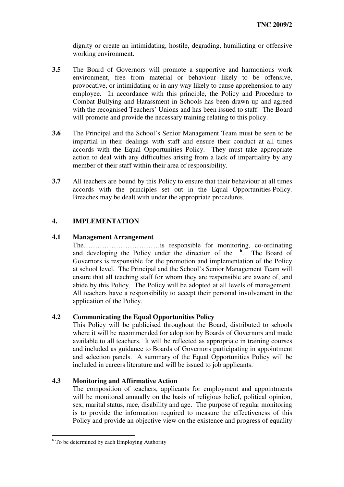dignity or create an intimidating, hostile, degrading, humiliating or offensive working environment.

- **3.5** The Board of Governors will promote a supportive and harmonious work environment, free from material or behaviour likely to be offensive, provocative, or intimidating or in any way likely to cause apprehension to any employee. In accordance with this principle, the Policy and Procedure to Combat Bullying and Harassment in Schools has been drawn up and agreed with the recognised Teachers' Unions and has been issued to staff. The Board will promote and provide the necessary training relating to this policy.
- **3.6** The Principal and the School's Senior Management Team must be seen to be impartial in their dealings with staff and ensure their conduct at all times accords with the Equal Opportunities Policy. They must take appropriate action to deal with any difficulties arising from a lack of impartiality by any member of their staff within their area of responsibility.
- **3.7** All teachers are bound by this Policy to ensure that their behaviour at all times accords with the principles set out in the Equal Opportunities Policy. Breaches may be dealt with under the appropriate procedures.

# **4. IMPLEMENTATION**

## **4.1 Management Arrangement**

The……………………………is responsible for monitoring, co-ordinating and developing the Policy under the direction of the **6** . The Board of Governors is responsible for the promotion and implementation of the Policy at school level. The Principal and the School's Senior Management Team will ensure that all teaching staff for whom they are responsible are aware of, and abide by this Policy. The Policy will be adopted at all levels of management. All teachers have a responsibility to accept their personal involvement in the application of the Policy.

## **4.2 Communicating the Equal Opportunities Policy**

This Policy will be publicised throughout the Board, distributed to schools where it will be recommended for adoption by Boards of Governors and made available to all teachers. It will be reflected as appropriate in training courses and included as guidance to Boards of Governors participating in appointment and selection panels. A summary of the Equal Opportunities Policy will be included in careers literature and will be issued to job applicants.

## **4.3 Monitoring and Affirmative Action**

The composition of teachers, applicants for employment and appointments will be monitored annually on the basis of religious belief, political opinion, sex, marital status, race, disability and age. The purpose of regular monitoring is to provide the information required to measure the effectiveness of this Policy and provide an objective view on the existence and progress of equality

<u> 1989 - Johann Barn, amerikansk politiker (</u>

<sup>&</sup>lt;sup>6</sup> To be determined by each Employing Authority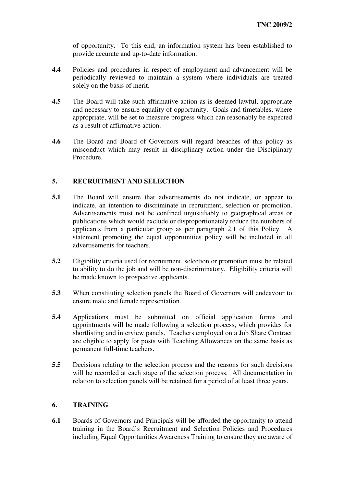of opportunity. To this end, an information system has been established to provide accurate and up-to-date information.

- **4.4** Policies and procedures in respect of employment and advancement will be periodically reviewed to maintain a system where individuals are treated solely on the basis of merit.
- **4.5** The Board will take such affirmative action as is deemed lawful, appropriate and necessary to ensure equality of opportunity. Goals and timetables, where appropriate, will be set to measure progress which can reasonably be expected as a result of affirmative action.
- **4.6** The Board and Board of Governors will regard breaches of this policy as misconduct which may result in disciplinary action under the Disciplinary Procedure.

# **5. RECRUITMENT AND SELECTION**

- **5.1** The Board will ensure that advertisements do not indicate, or appear to indicate, an intention to discriminate in recruitment, selection or promotion. Advertisements must not be confined unjustifiably to geographical areas or publications which would exclude or disproportionately reduce the numbers of applicants from a particular group as per paragraph 2.1 of this Policy. A statement promoting the equal opportunities policy will be included in all advertisements for teachers.
- **5.2** Eligibility criteria used for recruitment, selection or promotion must be related to ability to do the job and will be non-discriminatory. Eligibility criteria will be made known to prospective applicants.
- **5.3** When constituting selection panels the Board of Governors will endeavour to ensure male and female representation.
- **5.4** Applications must be submitted on official application forms and appointments will be made following a selection process, which provides for shortlisting and interview panels. Teachers employed on a Job Share Contract are eligible to apply for posts with Teaching Allowances on the same basis as permanent full-time teachers.
- **5.5** Decisions relating to the selection process and the reasons for such decisions will be recorded at each stage of the selection process. All documentation in relation to selection panels will be retained for a period of at least three years.

# **6. TRAINING**

**6.1** Boards of Governors and Principals will be afforded the opportunity to attend training in the Board's Recruitment and Selection Policies and Procedures including Equal Opportunities Awareness Training to ensure they are aware of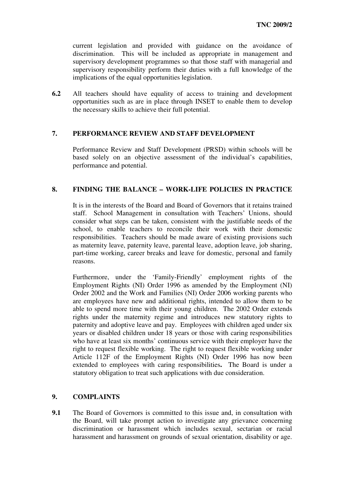current legislation and provided with guidance on the avoidance of discrimination. This will be included as appropriate in management and supervisory development programmes so that those staff with managerial and supervisory responsibility perform their duties with a full knowledge of the implications of the equal opportunities legislation.

**6.2** All teachers should have equality of access to training and development opportunities such as are in place through INSET to enable them to develop the necessary skills to achieve their full potential.

# **7. PERFORMANCE REVIEW AND STAFF DEVELOPMENT**

Performance Review and Staff Development (PRSD) within schools will be based solely on an objective assessment of the individual's capabilities, performance and potential.

# **8. FINDING THE BALANCE – WORK-LIFE POLICIES IN PRACTICE**

It is in the interests of the Board and Board of Governors that it retains trained staff. School Management in consultation with Teachers' Unions, should consider what steps can be taken, consistent with the justifiable needs of the school, to enable teachers to reconcile their work with their domestic responsibilities. Teachers should be made aware of existing provisions such as maternity leave, paternity leave, parental leave, adoption leave, job sharing, part-time working, career breaks and leave for domestic, personal and family reasons.

Furthermore, under the 'Family-Friendly' employment rights of the Employment Rights (NI) Order 1996 as amended by the Employment (NI) Order 2002 and the Work and Families (NI) Order 2006 working parents who are employees have new and additional rights, intended to allow them to be able to spend more time with their young children. The 2002 Order extends rights under the maternity regime and introduces new statutory rights to paternity and adoptive leave and pay. Employees with children aged under six years or disabled children under 18 years or those with caring responsibilities who have at least six months' continuous service with their employer have the right to request flexible working. The right to request flexible working under Article 112F of the Employment Rights (NI) Order 1996 has now been extended to employees with caring responsibilities**.** The Board is under a statutory obligation to treat such applications with due consideration.

# **9. COMPLAINTS**

**9.1** The Board of Governors is committed to this issue and, in consultation with the Board, will take prompt action to investigate any grievance concerning discrimination or harassment which includes sexual, sectarian or racial harassment and harassment on grounds of sexual orientation, disability or age.